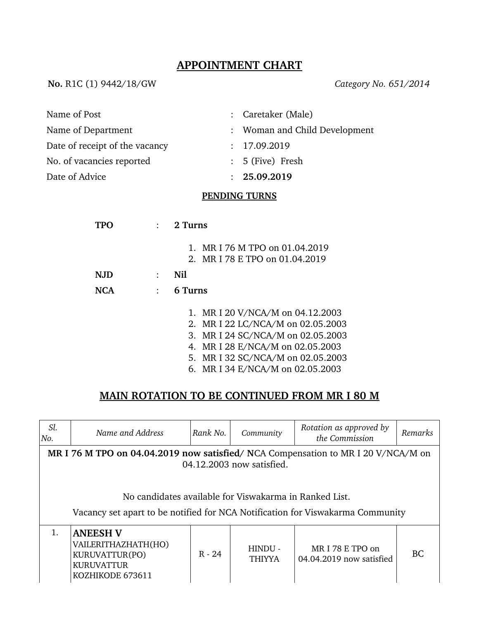## **APPOINTMENT CHART**

**No.** R1C (1) 9442/18/GW *Category No. 651/2014*

| Name of Post                   | : Caretaker (Male)            |
|--------------------------------|-------------------------------|
| Name of Department             | : Woman and Child Development |
| Date of receipt of the vacancy | : 17.09.2019                  |
| No. of vacancies reported      | $: 5$ (Five) Fresh            |
| Date of Advice                 | : 25.09.2019                  |

## **PENDING TURNS**

| TP(  | 2 Turns                           |
|------|-----------------------------------|
|      | 1. MR I 76 M TPO on 01.04.2019    |
|      | 2. MR I 78 E TPO on 01.04.2019    |
| N.JD | Nil                               |
| NCA  | 6 Turns                           |
|      | 1. MR I 20 V/NCA/M on 04.12.2003  |
|      | 2. MR I 22 LC/NCA/M on 02.05.2003 |
|      | 3. MR I 24 SC/NCA/M on 02.05.2003 |
|      | 4. MR I 28 E/NCA/M on 02.05.2003  |
|      | 5. MR I 32 SC/NCA/M on 02.05.2003 |
|      | 6. MR I 34 E/NCA/M on 02.05.2003  |

## **MAIN ROTATION TO BE CONTINUED FROM MR I 80 M**

| Sl.<br>No.                                                                                                                               | Name and Address                                                                                  | Rank No. | Community                | Rotation as approved by<br>the Commission   | <b>Remarks</b> |  |
|------------------------------------------------------------------------------------------------------------------------------------------|---------------------------------------------------------------------------------------------------|----------|--------------------------|---------------------------------------------|----------------|--|
| MR I 76 M TPO on 04.04.2019 now satisfied/NCA Compensation to MR I 20 V/NCA/M on<br>04.12.2003 now satisfied.                            |                                                                                                   |          |                          |                                             |                |  |
| No candidates available for Viswakarma in Ranked List.<br>Vacancy set apart to be notified for NCA Notification for Viswakarma Community |                                                                                                   |          |                          |                                             |                |  |
| 1.                                                                                                                                       | <b>ANEESH V</b><br>VAILERITHAZHATH(HO)<br>KURUVATTUR(PO)<br><b>KURUVATTUR</b><br>KOZHIKODE 673611 | $R - 24$ | HINDU -<br><b>THIYYA</b> | MRI 78 E TPO on<br>04.04.2019 now satisfied | BC.            |  |